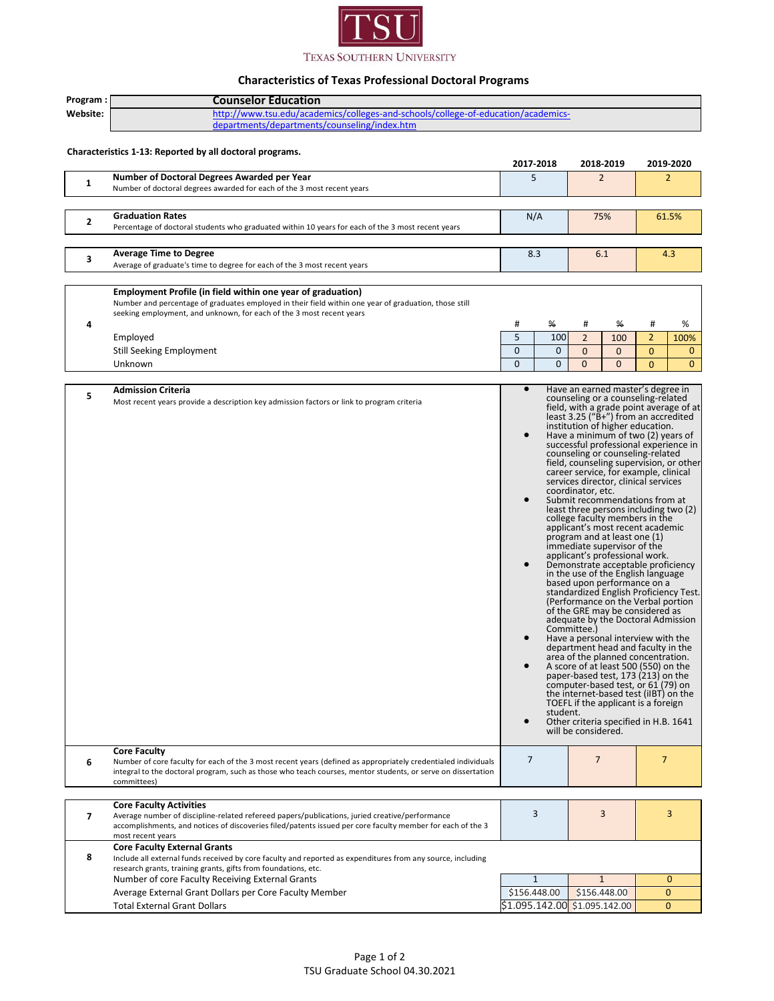

## **Characteristics of Texas Professional Doctoral Programs**

| Program:                                                 | <b>Counselor Education</b>                                                                                                                                                                                   |                                                                                                                                                                         |              |                                                                               |              |                                                                          |              |  |  |
|----------------------------------------------------------|--------------------------------------------------------------------------------------------------------------------------------------------------------------------------------------------------------------|-------------------------------------------------------------------------------------------------------------------------------------------------------------------------|--------------|-------------------------------------------------------------------------------|--------------|--------------------------------------------------------------------------|--------------|--|--|
| Website:                                                 | http://www.tsu.edu/academics/colleges-and-schools/college-of-education/academics-                                                                                                                            |                                                                                                                                                                         |              |                                                                               |              |                                                                          |              |  |  |
|                                                          | departments/departments/counseling/index.htm                                                                                                                                                                 |                                                                                                                                                                         |              |                                                                               |              |                                                                          |              |  |  |
|                                                          |                                                                                                                                                                                                              |                                                                                                                                                                         |              |                                                                               |              |                                                                          |              |  |  |
| Characteristics 1-13: Reported by all doctoral programs. |                                                                                                                                                                                                              |                                                                                                                                                                         |              |                                                                               |              |                                                                          |              |  |  |
|                                                          |                                                                                                                                                                                                              | 2017-2018                                                                                                                                                               |              | 2018 2019                                                                     |              |                                                                          | 2019-2020    |  |  |
| $\mathbf{1}$                                             | Number of Doctoral Degrees Awarded per Year                                                                                                                                                                  | 5                                                                                                                                                                       |              | $\overline{2}$                                                                |              | $\overline{2}$                                                           |              |  |  |
|                                                          | Number of doctoral degrees awarded for each of the 3 most recent years                                                                                                                                       |                                                                                                                                                                         |              |                                                                               |              |                                                                          |              |  |  |
|                                                          |                                                                                                                                                                                                              |                                                                                                                                                                         |              |                                                                               |              |                                                                          |              |  |  |
| 2                                                        | <b>Graduation Rates</b>                                                                                                                                                                                      | N/A                                                                                                                                                                     |              | 75%                                                                           |              | 61.5%                                                                    |              |  |  |
|                                                          | Percentage of doctoral students who graduated within 10 years for each of the 3 most recent years                                                                                                            |                                                                                                                                                                         |              |                                                                               |              |                                                                          |              |  |  |
|                                                          |                                                                                                                                                                                                              |                                                                                                                                                                         |              |                                                                               |              |                                                                          |              |  |  |
| 3                                                        | <b>Average Time to Degree</b>                                                                                                                                                                                | 8.3                                                                                                                                                                     |              | 6.1                                                                           |              | 4.3                                                                      |              |  |  |
|                                                          | Average of graduate's time to degree for each of the 3 most recent years                                                                                                                                     |                                                                                                                                                                         |              |                                                                               |              |                                                                          |              |  |  |
|                                                          |                                                                                                                                                                                                              |                                                                                                                                                                         |              |                                                                               |              |                                                                          |              |  |  |
|                                                          | Employment Profile (in field within one year of graduation)<br>Number and percentage of graduates employed in their field within one year of graduation, those still                                         |                                                                                                                                                                         |              |                                                                               |              |                                                                          |              |  |  |
|                                                          | seeking employment, and unknown, for each of the 3 most recent years                                                                                                                                         |                                                                                                                                                                         |              |                                                                               |              |                                                                          |              |  |  |
| 4                                                        |                                                                                                                                                                                                              | #                                                                                                                                                                       | ₩            | #                                                                             | ₩            | #                                                                        | %            |  |  |
|                                                          | Employed                                                                                                                                                                                                     | 5                                                                                                                                                                       | 100          | $\overline{2}$                                                                | 100          | $\overline{2}$                                                           | 100%         |  |  |
|                                                          | Still Seeking Employment                                                                                                                                                                                     | $\mathbf 0$                                                                                                                                                             | $\mathbf{0}$ | $\mathbf{0}$                                                                  | $\mathbf{0}$ | $\mathbf{0}$                                                             | $\mathbf{0}$ |  |  |
|                                                          | Unknown                                                                                                                                                                                                      | $\mathbf{0}$                                                                                                                                                            | $\mathbf{0}$ | $\mathbf{0}$                                                                  | $\mathbf 0$  | $\mathbf{0}$                                                             | $\mathbf{0}$ |  |  |
|                                                          |                                                                                                                                                                                                              |                                                                                                                                                                         |              |                                                                               |              |                                                                          |              |  |  |
| 5                                                        | <b>Admission Criteria</b>                                                                                                                                                                                    | $\bullet$                                                                                                                                                               |              | Have an earned master's degree in                                             |              |                                                                          |              |  |  |
|                                                          | Most recent years provide a description key admission factors or link to program criteria                                                                                                                    | counseling or a counseling-related<br>field, with a grade point average of at                                                                                           |              |                                                                               |              |                                                                          |              |  |  |
|                                                          |                                                                                                                                                                                                              |                                                                                                                                                                         |              |                                                                               |              | least 3.25 ("B+") from an accredited<br>institution of higher education. |              |  |  |
|                                                          |                                                                                                                                                                                                              |                                                                                                                                                                         |              |                                                                               |              |                                                                          |              |  |  |
|                                                          |                                                                                                                                                                                                              |                                                                                                                                                                         |              | Have a minimum of two (2) years of<br>successful professional experience in   |              |                                                                          |              |  |  |
|                                                          |                                                                                                                                                                                                              |                                                                                                                                                                         |              | counseling or counseling-related                                              |              |                                                                          |              |  |  |
|                                                          |                                                                                                                                                                                                              |                                                                                                                                                                         |              | field, counseling supervision, or other                                       |              |                                                                          |              |  |  |
|                                                          |                                                                                                                                                                                                              |                                                                                                                                                                         |              | career service, for example, clinical<br>services director, clinical services |              |                                                                          |              |  |  |
|                                                          |                                                                                                                                                                                                              |                                                                                                                                                                         |              | coordinator, etc.                                                             |              |                                                                          |              |  |  |
|                                                          |                                                                                                                                                                                                              | Submit recommendations from at<br>least three persons including two (2)                                                                                                 |              |                                                                               |              |                                                                          |              |  |  |
|                                                          |                                                                                                                                                                                                              |                                                                                                                                                                         |              |                                                                               |              |                                                                          |              |  |  |
|                                                          |                                                                                                                                                                                                              | college faculty members in the<br>applicant's most recent academic                                                                                                      |              |                                                                               |              |                                                                          |              |  |  |
|                                                          |                                                                                                                                                                                                              | program and at least one (1)<br>immediate supervisor of the<br>applicant's professional work.                                                                           |              |                                                                               |              |                                                                          |              |  |  |
|                                                          |                                                                                                                                                                                                              |                                                                                                                                                                         |              |                                                                               |              |                                                                          |              |  |  |
|                                                          |                                                                                                                                                                                                              |                                                                                                                                                                         |              | Demonstrate acceptable proficiency                                            |              |                                                                          |              |  |  |
|                                                          |                                                                                                                                                                                                              |                                                                                                                                                                         |              | in the use of the English language                                            |              |                                                                          |              |  |  |
|                                                          |                                                                                                                                                                                                              | based upon performance on a<br>standardized English Proficiency Test.                                                                                                   |              |                                                                               |              |                                                                          |              |  |  |
|                                                          |                                                                                                                                                                                                              |                                                                                                                                                                         |              | (Performance on the Verbal portion                                            |              |                                                                          |              |  |  |
|                                                          |                                                                                                                                                                                                              | of the GRE may be considered as<br>adequate by the Doctoral Admission<br>Committee.)                                                                                    |              |                                                                               |              |                                                                          |              |  |  |
|                                                          |                                                                                                                                                                                                              |                                                                                                                                                                         |              |                                                                               |              |                                                                          |              |  |  |
|                                                          |                                                                                                                                                                                                              | Have a personal interview with the                                                                                                                                      |              |                                                                               |              |                                                                          |              |  |  |
|                                                          |                                                                                                                                                                                                              | department head and faculty in the<br>area of the planned concentration.                                                                                                |              |                                                                               |              |                                                                          |              |  |  |
|                                                          |                                                                                                                                                                                                              | A score of at least 500 (550) on the<br>paper-based test, 173 (213) on the                                                                                              |              |                                                                               |              |                                                                          |              |  |  |
|                                                          |                                                                                                                                                                                                              |                                                                                                                                                                         |              |                                                                               |              |                                                                          |              |  |  |
|                                                          |                                                                                                                                                                                                              | computer-based test, or 61 (79) on<br>the internet-based test (iIBT) on the<br>TOEFL if the applicant is a foreign<br>student.<br>Other criteria specified in H.B. 1641 |              |                                                                               |              |                                                                          |              |  |  |
|                                                          |                                                                                                                                                                                                              |                                                                                                                                                                         |              |                                                                               |              |                                                                          |              |  |  |
|                                                          |                                                                                                                                                                                                              |                                                                                                                                                                         |              |                                                                               |              |                                                                          |              |  |  |
|                                                          |                                                                                                                                                                                                              |                                                                                                                                                                         |              | will be considered.                                                           |              |                                                                          |              |  |  |
|                                                          |                                                                                                                                                                                                              |                                                                                                                                                                         |              |                                                                               |              |                                                                          |              |  |  |
| 6                                                        | <b>Core Faculty</b><br>Number of core faculty for each of the 3 most recent years (defined as appropriately credentialed individuals                                                                         | $\overline{7}$                                                                                                                                                          |              | $\overline{7}$                                                                |              | $\overline{7}$                                                           |              |  |  |
|                                                          | integral to the doctoral program, such as those who teach courses, mentor students, or serve on dissertation                                                                                                 |                                                                                                                                                                         |              |                                                                               |              |                                                                          |              |  |  |
|                                                          | committees)                                                                                                                                                                                                  |                                                                                                                                                                         |              |                                                                               |              |                                                                          |              |  |  |
|                                                          |                                                                                                                                                                                                              |                                                                                                                                                                         |              |                                                                               |              |                                                                          |              |  |  |
|                                                          | <b>Core Faculty Activities</b>                                                                                                                                                                               |                                                                                                                                                                         | 3            | 3                                                                             |              |                                                                          | 3            |  |  |
| $\overline{ }$                                           | Average number of discipline-related refereed papers/publications, juried creative/performance<br>accomplishments, and notices of discoveries filed/patents issued per core faculty member for each of the 3 |                                                                                                                                                                         |              |                                                                               |              |                                                                          |              |  |  |
|                                                          | most recent years                                                                                                                                                                                            |                                                                                                                                                                         |              |                                                                               |              |                                                                          |              |  |  |
|                                                          | <b>Core Faculty External Grants</b>                                                                                                                                                                          |                                                                                                                                                                         |              |                                                                               |              |                                                                          |              |  |  |
| 8                                                        | Include all external funds received by core faculty and reported as expenditures from any source, including                                                                                                  |                                                                                                                                                                         |              |                                                                               |              |                                                                          |              |  |  |
|                                                          | research grants, training grants, gifts from foundations, etc.                                                                                                                                               |                                                                                                                                                                         |              |                                                                               |              |                                                                          |              |  |  |
|                                                          | Number of core Faculty Receiving External Grants                                                                                                                                                             |                                                                                                                                                                         | 1            | $\mathbf{1}$                                                                  |              |                                                                          | $\mathbf 0$  |  |  |
|                                                          | Average External Grant Dollars per Core Faculty Member                                                                                                                                                       | \$156.448.00                                                                                                                                                            |              | \$156.448.00                                                                  |              |                                                                          | $\mathbf{0}$ |  |  |
|                                                          | <b>Total External Grant Dollars</b>                                                                                                                                                                          |                                                                                                                                                                         |              | \$1.095.142.00 \$1.095.142.00                                                 |              |                                                                          | $\mathbf{0}$ |  |  |